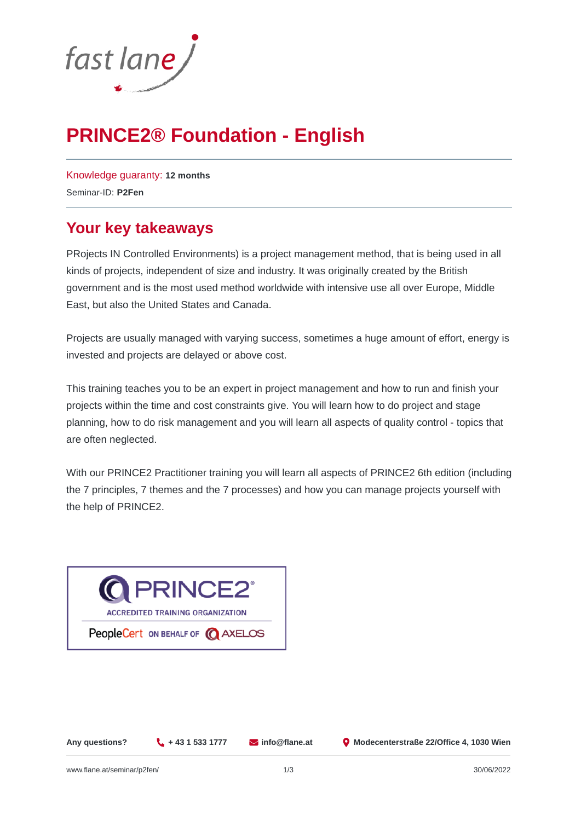

# **PRINCE2® Foundation - English**

[Knowledge guaranty:](https://www.flane.at/seminar-guarantee/) **12 months** Seminar-ID: **P2Fen**

### **Your key takeaways**

PRojects IN Controlled Environments) is a project management method, that is being used in all kinds of projects, independent of size and industry. It was originally created by the British government and is the most used method worldwide with intensive use all over Europe, Middle East, but also the United States and Canada.

Projects are usually managed with varying success, sometimes a huge amount of effort, energy is invested and projects are delayed or above cost.

This training teaches you to be an expert in project management and how to run and finish your projects within the time and cost constraints give. You will learn how to do project and stage planning, how to do risk management and you will learn all aspects of quality control - topics that are often neglected.

With our PRINCE2 Practitioner training you will learn all aspects of PRINCE2 6th edition (including the 7 principles, 7 themes and the 7 processes) and how you can manage projects yourself with the help of PRINCE2.



**Any questions? + 43 1 533 1777 info@flane.at Modecenterstraße 22/Office 4, 1030 Wien**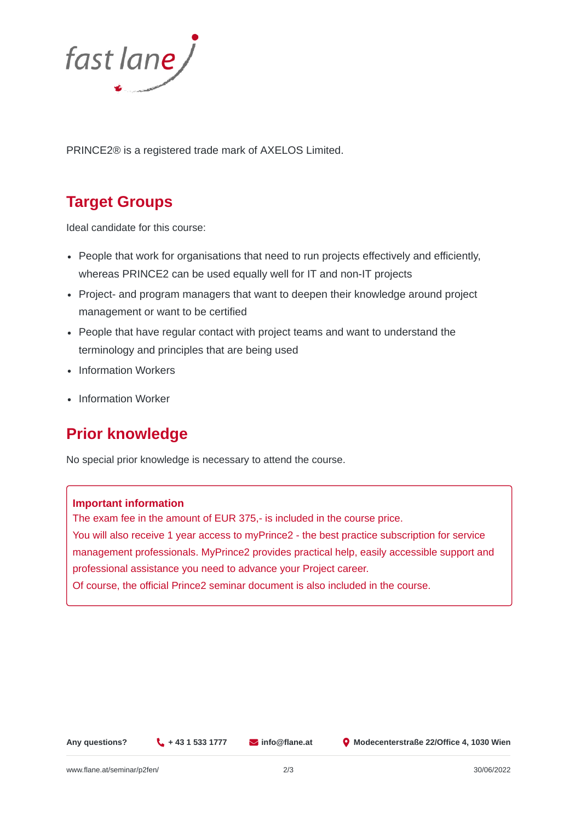

PRINCE2® is a registered trade mark of AXELOS Limited.

## **Target Groups**

Ideal candidate for this course:

- People that work for organisations that need to run projects effectively and efficiently, whereas PRINCE2 can be used equally well for IT and non-IT projects
- Project- and program managers that want to deepen their knowledge around project management or want to be certified
- People that have regular contact with project teams and want to understand the terminology and principles that are being used
- Information Workers
- Information Worker

## **Prior knowledge**

No special prior knowledge is necessary to attend the course.

#### **Important information**

The exam fee in the amount of EUR 375,- is included in the course price. You will also receive 1 year access to myPrince2 - the best practice subscription for service management professionals. MyPrince2 provides practical help, easily accessible support and professional assistance you need to advance your Project career. Of course, the official Prince2 seminar document is also included in the course.